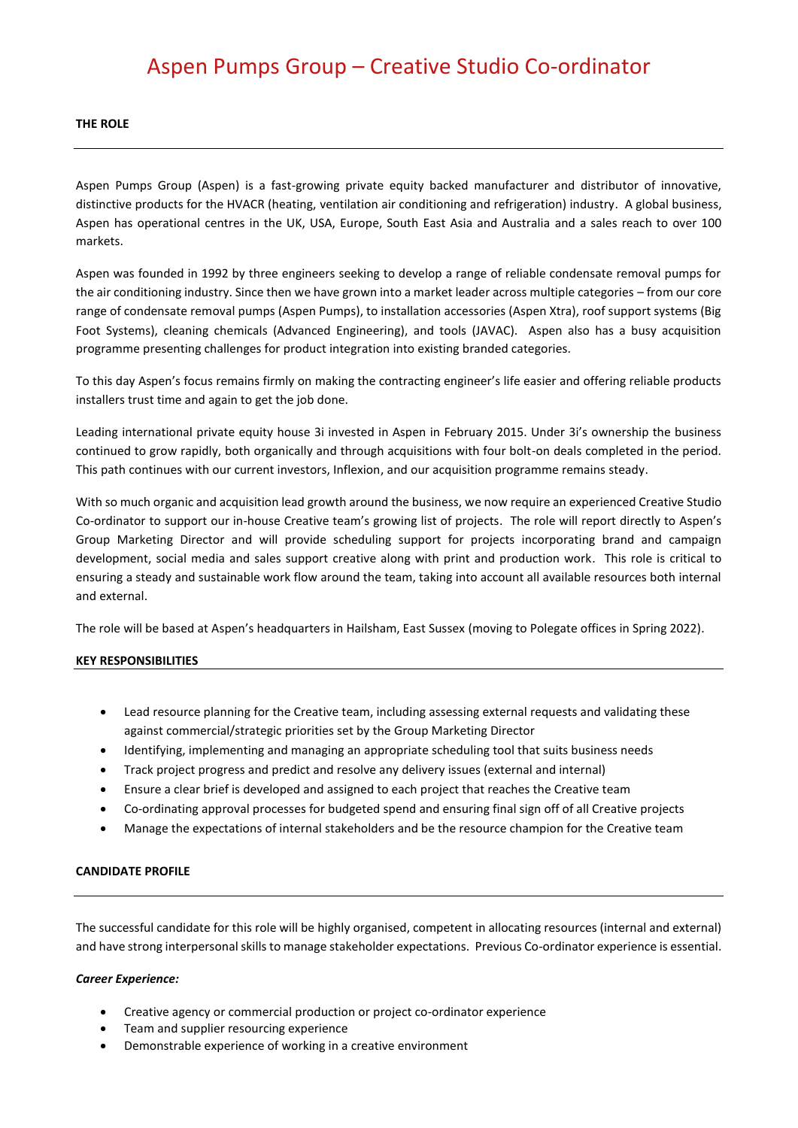# Aspen Pumps Group – Creative Studio Co-ordinator

#### **THE ROLE**

Aspen Pumps Group (Aspen) is a fast-growing private equity backed manufacturer and distributor of innovative, distinctive products for the HVACR (heating, ventilation air conditioning and refrigeration) industry. A global business, Aspen has operational centres in the UK, USA, Europe, South East Asia and Australia and a sales reach to over 100 markets.

Aspen was founded in 1992 by three engineers seeking to develop a range of reliable condensate removal pumps for the air conditioning industry. Since then we have grown into a market leader across multiple categories – from our core range of condensate removal pumps (Aspen Pumps), to installation accessories (Aspen Xtra), roof support systems (Big Foot Systems), cleaning chemicals (Advanced Engineering), and tools (JAVAC). Aspen also has a busy acquisition programme presenting challenges for product integration into existing branded categories.

To this day Aspen's focus remains firmly on making the contracting engineer's life easier and offering reliable products installers trust time and again to get the job done.

Leading international private equity house 3i invested in Aspen in February 2015. Under 3i's ownership the business continued to grow rapidly, both organically and through acquisitions with four bolt-on deals completed in the period. This path continues with our current investors, Inflexion, and our acquisition programme remains steady.

With so much organic and acquisition lead growth around the business, we now require an experienced Creative Studio Co-ordinator to support our in-house Creative team's growing list of projects. The role will report directly to Aspen's Group Marketing Director and will provide scheduling support for projects incorporating brand and campaign development, social media and sales support creative along with print and production work. This role is critical to ensuring a steady and sustainable work flow around the team, taking into account all available resources both internal and external.

The role will be based at Aspen's headquarters in Hailsham, East Sussex (moving to Polegate offices in Spring 2022).

## **KEY RESPONSIBILITIES**

- Lead resource planning for the Creative team, including assessing external requests and validating these against commercial/strategic priorities set by the Group Marketing Director
- Identifying, implementing and managing an appropriate scheduling tool that suits business needs
- Track project progress and predict and resolve any delivery issues (external and internal)
- Ensure a clear brief is developed and assigned to each project that reaches the Creative team
- Co-ordinating approval processes for budgeted spend and ensuring final sign off of all Creative projects
- Manage the expectations of internal stakeholders and be the resource champion for the Creative team

## **CANDIDATE PROFILE**

The successful candidate for this role will be highly organised, competent in allocating resources (internal and external) and have strong interpersonal skills to manage stakeholder expectations. Previous Co-ordinator experience is essential.

## *Career Experience:*

- Creative agency or commercial production or project co-ordinator experience
- Team and supplier resourcing experience
- Demonstrable experience of working in a creative environment